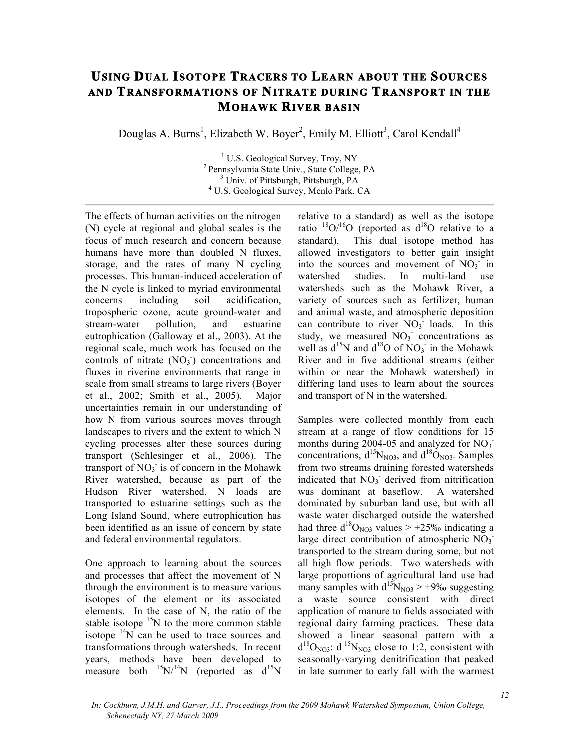## **USING DUAL ISOTOPE TRACERS TO LEARN ABOUT THE SOURCES AND TRANSFORMATIONS OF NITRATE DURING TRANSPORT IN THE MOHAWK RIVER BASIN**

Douglas A. Burns<sup>1</sup>, Elizabeth W. Boyer<sup>2</sup>, Emily M. Elliott<sup>3</sup>, Carol Kendall<sup>4</sup>

 U.S. Geological Survey, Troy, NY Pennsylvania State Univ., State College, PA Univ. of Pittsburgh, Pittsburgh, PA U.S. Geological Survey, Menlo Park, CA

The effects of human activities on the nitrogen (N) cycle at regional and global scales is the focus of much research and concern because humans have more than doubled N fluxes, storage, and the rates of many N cycling processes. This human-induced acceleration of the N cycle is linked to myriad environmental concerns including soil acidification, tropospheric ozone, acute ground-water and stream-water pollution, and estuarine eutrophication (Galloway et al., 2003). At the regional scale, much work has focused on the controls of nitrate  $(NO<sub>3</sub>)$  concentrations and fluxes in riverine environments that range in scale from small streams to large rivers (Boyer et al., 2002; Smith et al., 2005). Major uncertainties remain in our understanding of how N from various sources moves through landscapes to rivers and the extent to which N cycling processes alter these sources during transport (Schlesinger et al., 2006). The transport of  $NO<sub>3</sub>$  is of concern in the Mohawk River watershed, because as part of the Hudson River watershed, N loads are transported to estuarine settings such as the Long Island Sound, where eutrophication has been identified as an issue of concern by state and federal environmental regulators.

One approach to learning about the sources and processes that affect the movement of N through the environment is to measure various isotopes of the element or its associated elements. In the case of N, the ratio of the stable isotope  $15N$  to the more common stable isotope  $14N$  can be used to trace sources and transformations through watersheds. In recent years, methods have been developed to measure both  $^{15}N/^{14}N$  (reported as  $d^{15}N$ 

relative to a standard) as well as the isotope ratio  $\frac{18}{16}$ O (reported as  $d^{18}$ O relative to a standard). This dual isotope method has allowed investigators to better gain insight into the sources and movement of  $NO<sub>3</sub>$  in watershed studies. In multi-land use watersheds such as the Mohawk River, a variety of sources such as fertilizer, human and animal waste, and atmospheric deposition can contribute to river  $NO<sub>3</sub><sup>-</sup>$  loads. In this study, we measured  $NO<sub>3</sub>$  concentrations as well as  $d^{15}N$  and  $d^{18}O$  of  $NO_3$  in the Mohawk River and in five additional streams (either within or near the Mohawk watershed) in differing land uses to learn about the sources and transport of N in the watershed.

Samples were collected monthly from each stream at a range of flow conditions for 15 months during 2004-05 and analyzed for  $NO_3$ <sup>-</sup> concentrations,  $d^{15}N_{NQ3}$ , and  $d^{18}O_{NQ3}$ . Samples from two streams draining forested watersheds indicated that NO<sub>3</sub> derived from nitrification was dominant at baseflow. A watershed dominated by suburban land use, but with all waste water discharged outside the watershed had three  $d^{18}O_{NQ3}$  values > +25‰ indicating a large direct contribution of atmospheric  $\overline{NO_3}$ transported to the stream during some, but not all high flow periods. Two watersheds with large proportions of agricultural land use had many samples with  $d^{15}N_{NQ3}$  > +9‰ suggesting a waste source consistent with direct application of manure to fields associated with regional dairy farming practices. These data showed a linear seasonal pattern with a  $d^{18}O_{NQ3}$ :  $d^{15}N_{NQ3}$  close to 1:2, consistent with seasonally-varying denitrification that peaked in late summer to early fall with the warmest